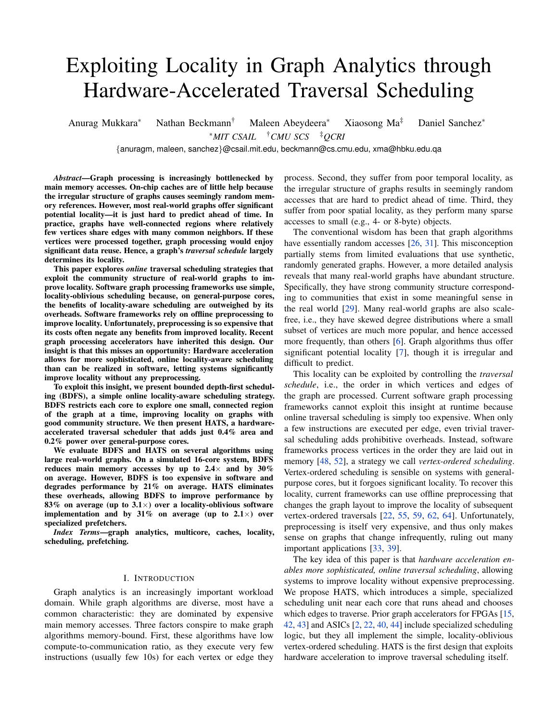# Exploiting Locality in Graph Analytics through Hardware-Accelerated Traversal Scheduling

Anurag Mukkara<sup>∗</sup> Nathan Beckmann† Maleen Abeydeera<sup>∗</sup> Xiaosong Ma‡ Daniel Sanchez<sup>∗</sup> <sup>∗</sup>*MIT CSAIL* †*CMU SCS* ‡*QCRI*

{anuragm, maleen, sanchez}@csail.mit.edu, beckmann@cs.cmu.edu, xma@hbku.edu.qa

*Abstract*—Graph processing is increasingly bottlenecked by main memory accesses. On-chip caches are of little help because the irregular structure of graphs causes seemingly random memory references. However, most real-world graphs offer significant potential locality—it is just hard to predict ahead of time. In practice, graphs have well-connected regions where relatively few vertices share edges with many common neighbors. If these vertices were processed together, graph processing would enjoy significant data reuse. Hence, a graph's *traversal schedule* largely determines its locality.

This paper explores *online* traversal scheduling strategies that exploit the community structure of real-world graphs to improve locality. Software graph processing frameworks use simple, locality-oblivious scheduling because, on general-purpose cores, the benefits of locality-aware scheduling are outweighed by its overheads. Software frameworks rely on offline preprocessing to improve locality. Unfortunately, preprocessing is so expensive that its costs often negate any benefits from improved locality. Recent graph processing accelerators have inherited this design. Our insight is that this misses an opportunity: Hardware acceleration allows for more sophisticated, online locality-aware scheduling than can be realized in software, letting systems significantly improve locality without any preprocessing.

To exploit this insight, we present bounded depth-first scheduling (BDFS), a simple online locality-aware scheduling strategy. BDFS restricts each core to explore one small, connected region of the graph at a time, improving locality on graphs with good community structure. We then present HATS, a hardwareaccelerated traversal scheduler that adds just 0.4% area and 0.2% power over general-purpose cores.

We evaluate BDFS and HATS on several algorithms using large real-world graphs. On a simulated 16-core system, BDFS reduces main memory accesses by up to  $2.4\times$  and by  $30\%$ on average. However, BDFS is too expensive in software and degrades performance by 21% on average. HATS eliminates these overheads, allowing BDFS to improve performance by 83% on average (up to  $3.1\times$ ) over a locality-oblivious software implementation and by 31% on average (up to  $2.1 \times$ ) over specialized prefetchers.

*Index Terms*—graph analytics, multicore, caches, locality, scheduling, prefetching.

## I. INTRODUCTION

Graph analytics is an increasingly important workload domain. While graph algorithms are diverse, most have a common characteristic: they are dominated by expensive main memory accesses. Three factors conspire to make graph algorithms memory-bound. First, these algorithms have low compute-to-communication ratio, as they execute very few instructions (usually few 10s) for each vertex or edge they process. Second, they suffer from poor temporal locality, as the irregular structure of graphs results in seemingly random accesses that are hard to predict ahead of time. Third, they suffer from poor spatial locality, as they perform many sparse accesses to small (e.g., 4- or 8-byte) objects.

The conventional wisdom has been that graph algorithms have essentially random accesses [\[26,](#page-13-0) [31\]](#page-13-1). This misconception partially stems from limited evaluations that use synthetic, randomly generated graphs. However, a more detailed analysis reveals that many real-world graphs have abundant structure. Specifically, they have strong community structure corresponding to communities that exist in some meaningful sense in the real world [\[29\]](#page-13-2). Many real-world graphs are also scalefree, i.e., they have skewed degree distributions where a small subset of vertices are much more popular, and hence accessed more frequently, than others [\[6\]](#page-13-3). Graph algorithms thus offer significant potential locality [\[7\]](#page-13-4), though it is irregular and difficult to predict.

This locality can be exploited by controlling the *traversal schedule*, i.e., the order in which vertices and edges of the graph are processed. Current software graph processing frameworks cannot exploit this insight at runtime because online traversal scheduling is simply too expensive. When only a few instructions are executed per edge, even trivial traversal scheduling adds prohibitive overheads. Instead, software frameworks process vertices in the order they are laid out in memory [\[48,](#page-13-5) [52\]](#page-13-6), a strategy we call *vertex-ordered scheduling*. Vertex-ordered scheduling is sensible on systems with generalpurpose cores, but it forgoes significant locality. To recover this locality, current frameworks can use offline preprocessing that changes the graph layout to improve the locality of subsequent vertex-ordered traversals [\[22,](#page-13-7) [55,](#page-13-8) [59,](#page-13-9) [62,](#page-13-10) [64\]](#page-13-11). Unfortunately, preprocessing is itself very expensive, and thus only makes sense on graphs that change infrequently, ruling out many important applications [\[33,](#page-13-12) [39\]](#page-13-13).

The key idea of this paper is that *hardware acceleration enables more sophisticated, online traversal scheduling*, allowing systems to improve locality without expensive preprocessing. We propose HATS, which introduces a simple, specialized scheduling unit near each core that runs ahead and chooses which edges to traverse. Prior graph accelerators for FPGAs [\[15,](#page-13-14) [42,](#page-13-15) [43\]](#page-13-16) and ASICs [\[2,](#page-12-0) [22,](#page-13-7) [40,](#page-13-17) [44\]](#page-13-18) include specialized scheduling logic, but they all implement the simple, locality-oblivious vertex-ordered scheduling. HATS is the first design that exploits hardware acceleration to improve traversal scheduling itself.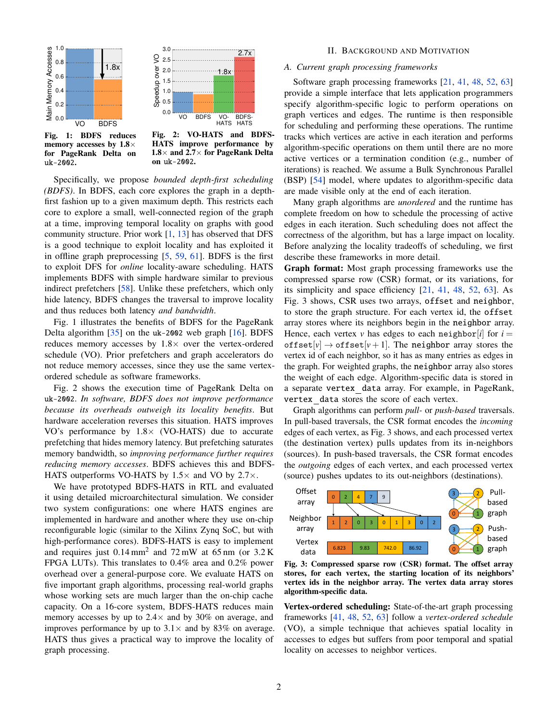<span id="page-1-0"></span>

Fig. 1: BDFS reduces memory accesses by 1.8× for PageRank Delta on uk-2002.

Fig. 2: VO-HATS and BDFS-HATS improve performance by 1.8 $\times$  and 2.7 $\times$  for PageRank Delta on uk-2002.

BDFS-HATS

2.7x

Specifically, we propose *bounded depth-first scheduling (BDFS)*. In BDFS, each core explores the graph in a depthfirst fashion up to a given maximum depth. This restricts each core to explore a small, well-connected region of the graph at a time, improving temporal locality on graphs with good community structure. Prior work [\[1,](#page-12-1) [13\]](#page-13-19) has observed that DFS is a good technique to exploit locality and has exploited it in offline graph preprocessing [\[5,](#page-13-20) [59,](#page-13-9) [61\]](#page-13-21). BDFS is the first to exploit DFS for *online* locality-aware scheduling. HATS implements BDFS with simple hardware similar to previous indirect prefetchers [\[58\]](#page-13-22). Unlike these prefetchers, which only hide latency, BDFS changes the traversal to improve locality and thus reduces both latency *and bandwidth*.

[Fig. 1](#page-1-0) illustrates the benefits of BDFS for the PageRank Delta algorithm [\[35\]](#page-13-23) on the uk-2002 web graph [\[16\]](#page-13-24). BDFS reduces memory accesses by  $1.8\times$  over the vertex-ordered schedule (VO). Prior prefetchers and graph accelerators do not reduce memory accesses, since they use the same vertexordered schedule as software frameworks.

[Fig. 2](#page-1-0) shows the execution time of PageRank Delta on uk-2002. *In software, BDFS does not improve performance because its overheads outweigh its locality benefits*. But hardware acceleration reverses this situation. HATS improves VO's performance by  $1.8 \times$  (VO-HATS) due to accurate prefetching that hides memory latency. But prefetching saturates memory bandwidth, so *improving performance further requires reducing memory accesses*. BDFS achieves this and BDFS-HATS outperforms VO-HATS by  $1.5\times$  and VO by  $2.7\times$ .

We have prototyped BDFS-HATS in RTL and evaluated it using detailed microarchitectural simulation. We consider two system configurations: one where HATS engines are implemented in hardware and another where they use on-chip reconfigurable logic (similar to the Xilinx Zynq SoC, but with high-performance cores). BDFS-HATS is easy to implement and requires just  $0.14 \text{ mm}^2$  and  $72 \text{ mW}$  at  $65 \text{ nm}$  (or  $3.2 \text{ K}$ FPGA LUTs). This translates to 0.4% area and 0.2% power overhead over a general-purpose core. We evaluate HATS on five important graph algorithms, processing real-world graphs whose working sets are much larger than the on-chip cache capacity. On a 16-core system, BDFS-HATS reduces main memory accesses by up to  $2.4\times$  and by 30% on average, and improves performance by up to  $3.1\times$  and by 83% on average. HATS thus gives a practical way to improve the locality of graph processing.

# II. BACKGROUND AND MOTIVATION

## <span id="page-1-3"></span><span id="page-1-2"></span>*A. Current graph processing frameworks*

Software graph processing frameworks [\[21,](#page-13-25) [41,](#page-13-26) [48,](#page-13-5) [52,](#page-13-6) [63\]](#page-13-27) provide a simple interface that lets application programmers specify algorithm-specific logic to perform operations on graph vertices and edges. The runtime is then responsible for scheduling and performing these operations. The runtime tracks which vertices are active in each iteration and performs algorithm-specific operations on them until there are no more active vertices or a termination condition (e.g., number of iterations) is reached. We assume a Bulk Synchronous Parallel (BSP) [\[54\]](#page-13-28) model, where updates to algorithm-specific data are made visible only at the end of each iteration.

Many graph algorithms are *unordered* and the runtime has complete freedom on how to schedule the processing of active edges in each iteration. Such scheduling does not affect the correctness of the algorithm, but has a large impact on locality. Before analyzing the locality tradeoffs of scheduling, we first describe these frameworks in more detail.

Graph format: Most graph processing frameworks use the compressed sparse row (CSR) format, or its variations, for its simplicity and space efficiency [\[21,](#page-13-25) [41,](#page-13-26) [48,](#page-13-5) [52,](#page-13-6) [63\]](#page-13-27). As [Fig. 3](#page-1-1) shows, CSR uses two arrays, offset and neighbor, to store the graph structure. For each vertex id, the offset array stores where its neighbors begin in the neighbor array. Hence, each vertex *v* has edges to each neighbor  $|i|$  for  $i =$ offset[ $v$ ]  $\rightarrow$  offset[ $v$  + 1]. The neighbor array stores the vertex id of each neighbor, so it has as many entries as edges in the graph. For weighted graphs, the neighbor array also stores the weight of each edge. Algorithm-specific data is stored in a separate vertex data array. For example, in PageRank, vertex data stores the score of each vertex.

Graph algorithms can perform *pull-* or *push-based* traversals. In pull-based traversals, the CSR format encodes the *incoming* edges of each vertex, as [Fig. 3](#page-1-1) shows, and each processed vertex (the destination vertex) pulls updates from its in-neighbors (sources). In push-based traversals, the CSR format encodes the *outgoing* edges of each vertex, and each processed vertex (source) pushes updates to its out-neighbors (destinations).

<span id="page-1-1"></span>

Fig. 3: Compressed sparse row (CSR) format. The offset array stores, for each vertex, the starting location of its neighbors' vertex ids in the neighbor array. The vertex data array stores algorithm-specific data.

Vertex-ordered scheduling: State-of-the-art graph processing frameworks [\[41,](#page-13-26) [48,](#page-13-5) [52,](#page-13-6) [63\]](#page-13-27) follow a *vertex-ordered schedule* (VO), a simple technique that achieves spatial locality in accesses to edges but suffers from poor temporal and spatial locality on accesses to neighbor vertices.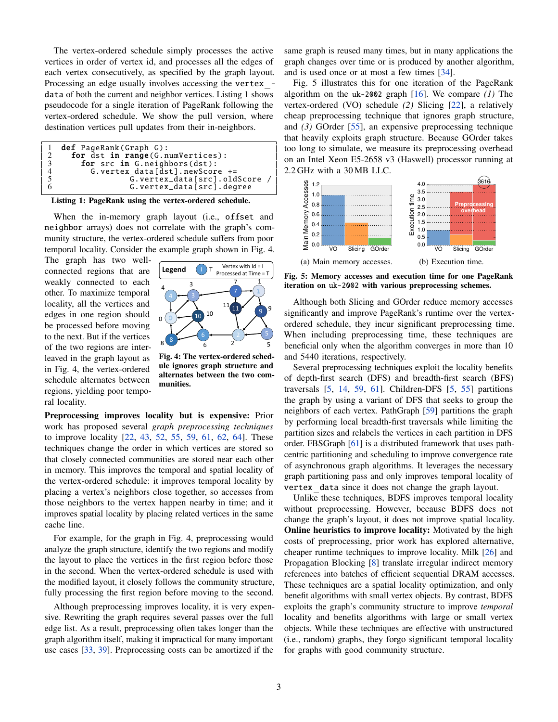The vertex-ordered schedule simply processes the active vertices in order of vertex id, and processes all the edges of each vertex consecutively, as specified by the graph layout. Processing an edge usually involves accessing the vertex data of both the current and neighbor vertices. [Listing 1](#page-2-0) shows pseudocode for a single iteration of PageRank following the vertex-ordered schedule. We show the pull version, where destination vertices pull updates from their in-neighbors.

```
1 def PageRank(Graph G):
2 for dst in range(G. numVertices):<br>3 for src in G. neighbors(dst):
3 for src in G. neighbors (dst):<br>4 G. vertex_data[dst].newScor
4 G. vertex_data [dst ]. newScore +=
5 G. vertex_data [src].oldScore<br>6 G. vertex_data [src].degree
                        6 G. vertex_data [src ]. degree
```
Listing 1: PageRank using the vertex-ordered schedule.

When the in-memory graph layout (i.e., offset and neighbor arrays) does not correlate with the graph's community structure, the vertex-ordered schedule suffers from poor temporal locality. Consider the example graph shown in [Fig. 4.](#page-2-1)

The graph has two wellconnected regions that are weakly connected to each other. To maximize temporal locality, all the vertices and edges in one region should be processed before moving to the next. But if the vertices of the two regions are interleaved in the graph layout as in [Fig. 4,](#page-2-1) the vertex-ordered schedule alternates between regions, yielding poor temporal locality.

<span id="page-2-1"></span>

Fig. 4: The vertex-ordered schedule ignores graph structure and alternates between the two communities.

Preprocessing improves locality but is expensive: Prior work has proposed several *graph preprocessing techniques* to improve locality [\[22,](#page-13-7) [43,](#page-13-16) [52,](#page-13-6) [55,](#page-13-8) [59,](#page-13-9) [61,](#page-13-21) [62,](#page-13-10) [64\]](#page-13-11). These techniques change the order in which vertices are stored so that closely connected communities are stored near each other in memory. This improves the temporal and spatial locality of the vertex-ordered schedule: it improves temporal locality by placing a vertex's neighbors close together, so accesses from those neighbors to the vertex happen nearby in time; and it improves spatial locality by placing related vertices in the same cache line.

For example, for the graph in [Fig. 4,](#page-2-1) preprocessing would analyze the graph structure, identify the two regions and modify the layout to place the vertices in the first region before those in the second. When the vertex-ordered schedule is used with the modified layout, it closely follows the community structure, fully processing the first region before moving to the second.

Although preprocessing improves locality, it is very expensive. Rewriting the graph requires several passes over the full edge list. As a result, preprocessing often takes longer than the graph algorithm itself, making it impractical for many important use cases [\[33,](#page-13-12) [39\]](#page-13-13). Preprocessing costs can be amortized if the

same graph is reused many times, but in many applications the graph changes over time or is produced by another algorithm, and is used once or at most a few times [\[34\]](#page-13-29).

[Fig. 5](#page-2-2) illustrates this for one iteration of the PageRank algorithm on the uk-2002 graph [\[16\]](#page-13-24). We compare *(1)* The vertex-ordered (VO) schedule *(2)* Slicing [\[22\]](#page-13-7), a relatively cheap preprocessing technique that ignores graph structure, and *(3)* GOrder [\[55\]](#page-13-8), an expensive preprocessing technique that heavily exploits graph structure. Because GOrder takes too long to simulate, we measure its preprocessing overhead on an Intel Xeon E5-2658 v3 (Haswell) processor running at 2.2 GHz with a 30 MB LLC.

<span id="page-2-2"></span>

Fig. 5: Memory accesses and execution time for one PageRank iteration on uk-2002 with various preprocessing schemes.

Although both Slicing and GOrder reduce memory accesses significantly and improve PageRank's runtime over the vertexordered schedule, they incur significant preprocessing time. When including preprocessing time, these techniques are beneficial only when the algorithm converges in more than 10 and 5440 iterations, respectively.

Several preprocessing techniques exploit the locality benefits of depth-first search (DFS) and breadth-first search (BFS) traversals  $[5, 14, 59, 61]$  $[5, 14, 59, 61]$  $[5, 14, 59, 61]$  $[5, 14, 59, 61]$  $[5, 14, 59, 61]$  $[5, 14, 59, 61]$  $[5, 14, 59, 61]$ . Children-DFS  $[5, 55]$  $[5, 55]$  partitions the graph by using a variant of DFS that seeks to group the neighbors of each vertex. PathGraph [\[59\]](#page-13-9) partitions the graph by performing local breadth-first traversals while limiting the partition sizes and relabels the vertices in each partition in DFS order. FBSGraph [\[61\]](#page-13-21) is a distributed framework that uses pathcentric partitioning and scheduling to improve convergence rate of asynchronous graph algorithms. It leverages the necessary graph partitioning pass and only improves temporal locality of vertex\_data since it does not change the graph layout.

Unlike these techniques, BDFS improves temporal locality without preprocessing. However, because BDFS does not change the graph's layout, it does not improve spatial locality. Online heuristics to improve locality: Motivated by the high costs of preprocessing, prior work has explored alternative, cheaper runtime techniques to improve locality. Milk [\[26\]](#page-13-0) and Propagation Blocking [\[8\]](#page-13-31) translate irregular indirect memory references into batches of efficient sequential DRAM accesses. These techniques are a spatial locality optimization, and only benefit algorithms with small vertex objects. By contrast, BDFS exploits the graph's community structure to improve *temporal* locality and benefits algorithms with large or small vertex objects. While these techniques are effective with unstructured (i.e., random) graphs, they forgo significant temporal locality for graphs with good community structure.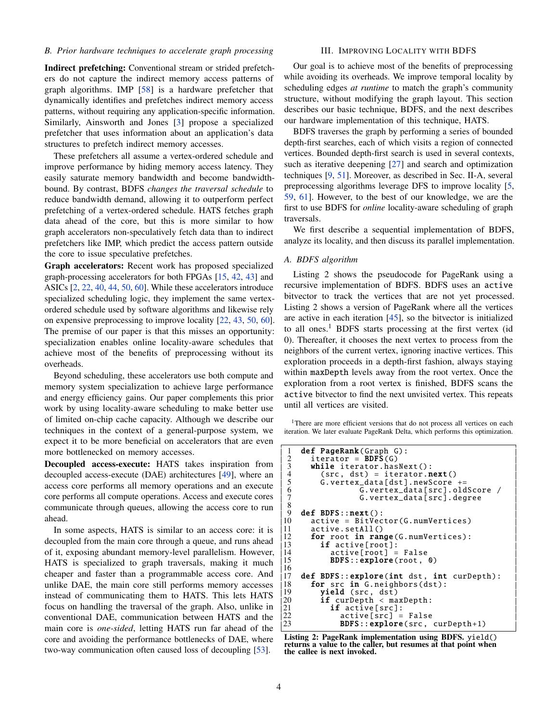## <span id="page-3-2"></span>*B. Prior hardware techniques to accelerate graph processing*

Indirect prefetching: Conventional stream or strided prefetchers do not capture the indirect memory access patterns of graph algorithms. IMP [\[58\]](#page-13-22) is a hardware prefetcher that dynamically identifies and prefetches indirect memory access patterns, without requiring any application-specific information. Similarly, Ainsworth and Jones [\[3\]](#page-12-2) propose a specialized prefetcher that uses information about an application's data structures to prefetch indirect memory accesses.

These prefetchers all assume a vertex-ordered schedule and improve performance by hiding memory access latency. They easily saturate memory bandwidth and become bandwidthbound. By contrast, BDFS *changes the traversal schedule* to reduce bandwidth demand, allowing it to outperform perfect prefetching of a vertex-ordered schedule. HATS fetches graph data ahead of the core, but this is more similar to how graph accelerators non-speculatively fetch data than to indirect prefetchers like IMP, which predict the access pattern outside the core to issue speculative prefetches.

Graph accelerators: Recent work has proposed specialized graph-processing accelerators for both FPGAs [\[15,](#page-13-14) [42,](#page-13-15) [43\]](#page-13-16) and ASICs [\[2,](#page-12-0) [22,](#page-13-7) [40,](#page-13-17) [44,](#page-13-18) [50,](#page-13-32) [60\]](#page-13-33). While these accelerators introduce specialized scheduling logic, they implement the same vertexordered schedule used by software algorithms and likewise rely on expensive preprocessing to improve locality [\[22,](#page-13-7) [43,](#page-13-16) [50,](#page-13-32) [60\]](#page-13-33). The premise of our paper is that this misses an opportunity: specialization enables online locality-aware schedules that achieve most of the benefits of preprocessing without its overheads.

Beyond scheduling, these accelerators use both compute and memory system specialization to achieve large performance and energy efficiency gains. Our paper complements this prior work by using locality-aware scheduling to make better use of limited on-chip cache capacity. Although we describe our techniques in the context of a general-purpose system, we expect it to be more beneficial on accelerators that are even more bottlenecked on memory accesses.

Decoupled access-execute: HATS takes inspiration from decoupled access-execute (DAE) architectures [\[49\]](#page-13-34), where an access core performs all memory operations and an execute core performs all compute operations. Access and execute cores communicate through queues, allowing the access core to run ahead.

In some aspects, HATS is similar to an access core: it is decoupled from the main core through a queue, and runs ahead of it, exposing abundant memory-level parallelism. However, HATS is specialized to graph traversals, making it much cheaper and faster than a programmable access core. And unlike DAE, the main core still performs memory accesses instead of communicating them to HATS. This lets HATS focus on handling the traversal of the graph. Also, unlike in conventional DAE, communication between HATS and the main core is *one-sided*, letting HATS run far ahead of the core and avoiding the performance bottlenecks of DAE, where two-way communication often caused loss of decoupling [\[53\]](#page-13-35).

# III. IMPROVING LOCALITY WITH BDFS

Our goal is to achieve most of the benefits of preprocessing while avoiding its overheads. We improve temporal locality by scheduling edges *at runtime* to match the graph's community structure, without modifying the graph layout. This section describes our basic technique, BDFS, and the next describes our hardware implementation of this technique, HATS.

BDFS traverses the graph by performing a series of bounded depth-first searches, each of which visits a region of connected vertices. Bounded depth-first search is used in several contexts, such as iterative deepening [\[27\]](#page-13-36) and search and optimization techniques [\[9,](#page-13-37) [51\]](#page-13-38). Moreover, as described in Sec. [II-A,](#page-1-2) several preprocessing algorithms leverage DFS to improve locality [\[5,](#page-13-20) [59,](#page-13-9) [61\]](#page-13-21). However, to the best of our knowledge, we are the first to use BDFS for *online* locality-aware scheduling of graph traversals.

We first describe a sequential implementation of BDFS, analyze its locality, and then discuss its parallel implementation.

## *A. BDFS algorithm*

[Listing 2](#page-3-0) shows the pseudocode for PageRank using a recursive implementation of BDFS. BDFS uses an active bitvector to track the vertices that are not yet processed. [Listing 2](#page-3-0) shows a version of PageRank where all the vertices are active in each iteration [\[45\]](#page-13-39), so the bitvector is initialized to all ones.<sup>[1](#page-3-1)</sup> BDFS starts processing at the first vertex (id 0). Thereafter, it chooses the next vertex to process from the neighbors of the current vertex, ignoring inactive vertices. This exploration proceeds in a depth-first fashion, always staying within maxDepth levels away from the root vertex. Once the exploration from a root vertex is finished, BDFS scans the active bitvector to find the next unvisited vertex. This repeats until all vertices are visited.

<span id="page-3-1"></span><sup>1</sup>There are more efficient versions that do not process all vertices on each iteration. We later evaluate PageRank Delta, which performs this optimization.

```
1 def PageRank(Graph G):<br>2 iterator = BDFS(G)<br>3 while iterator.hasNe
         iterator = BDFS(G)3 while iterator.hasNext():<br>4 (src, dst) = iterator.n
 4 (src, dst) = iterator.next()<br>5 G.vertex data[dst].newScore
 5 G. vertex_data[dst].newScore +=<br>6 G. vertex_data[src].old
 6 G. vertex_data [src].oldScore /<br>7 G. vertex_data [src].degree
                        7 G. vertex_data [src ]. degree
 8
9 def BDFS::next():<br>10 active = BitVec
        active = BitVector(G.numVertices)11 active.setAll()<br>12 for root in ran
        for root in range(G. numVertices):
13 if active[root]:<br>14 active[root] =
14 active[root] = False<br>15 BDFS::explore(root.
               BDFS:: explore(root, 0)
16
17 def BDFS::explore(int dst, int curDepth):<br>18 for src in G.neighbors(dst):
18 for src in G. neighbors(dst):<br>19 yield (src, dst)
            yield (src, dst)
20 if curDepth < maxDepth:<br>21 if active[src]:
               if active[src]:
22 active[src] = False<br>23 BDFS::explore(src.
                  BDFS::explore(src, curDepth+1)
```
Listing 2: PageRank implementation using BDFS. yield() returns a value to the caller, but resumes at that point when the callee is next invoked.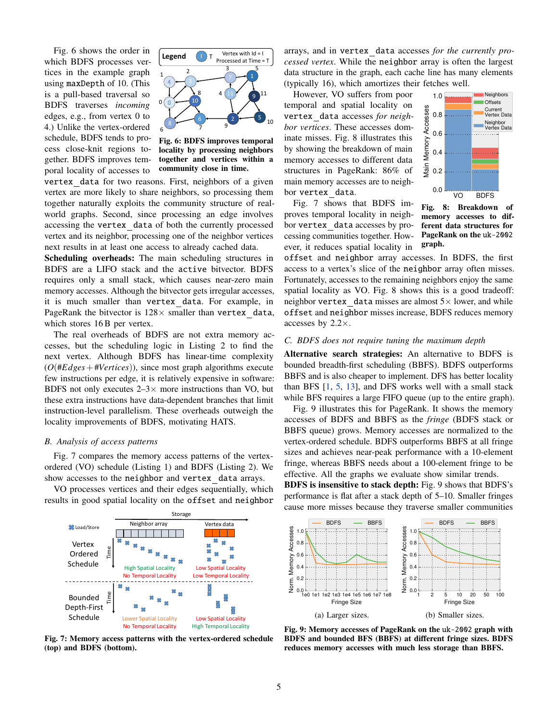[Fig. 6](#page-4-0) shows the order in which BDFS processes vertices in the example graph using maxDepth of 10. (This is a pull-based traversal so BDFS traverses *incoming* edges, e.g., from vertex 0 to 4.) Unlike the vertex-ordered schedule, BDFS tends to process close-knit regions together. BDFS improves temporal locality of accesses to

<span id="page-4-0"></span>

Fig. 6: BDFS improves temporal locality by processing neighbors together and vertices within a community close in time.

vertex data for two reasons. First, neighbors of a given vertex are more likely to share neighbors, so processing them together naturally exploits the community structure of realworld graphs. Second, since processing an edge involves accessing the vertex data of both the currently processed vertex and its neighbor, processing one of the neighbor vertices next results in at least one access to already cached data.

Scheduling overheads: The main scheduling structures in BDFS are a LIFO stack and the active bitvector. BDFS requires only a small stack, which causes near-zero main memory accesses. Although the bitvector gets irregular accesses, it is much smaller than vertex data. For example, in PageRank the bitvector is  $128 \times$  smaller than vertex data, which stores  $16B$  per vertex.

The real overheads of BDFS are not extra memory accesses, but the scheduling logic in [Listing 2](#page-3-0) to find the next vertex. Although BDFS has linear-time complexity (*O*(#*Edges*+#*Vertices*)), since most graph algorithms execute few instructions per edge, it is relatively expensive in software: BDFS not only executes  $2-3\times$  more instructions than VO, but these extra instructions have data-dependent branches that limit instruction-level parallelism. These overheads outweigh the locality improvements of BDFS, motivating HATS.

## <span id="page-4-5"></span>*B. Analysis of access patterns*

[Fig. 7](#page-4-1) compares the memory access patterns of the vertexordered (VO) schedule [\(Listing 1\)](#page-2-0) and BDFS [\(Listing 2\)](#page-3-0). We show accesses to the neighbor and vertex data arrays.

VO processes vertices and their edges sequentially, which results in good spatial locality on the offset and neighbor

<span id="page-4-1"></span>

Fig. 7: Memory access patterns with the vertex-ordered schedule (top) and BDFS (bottom).

arrays, and in vertex data accesses *for the currently processed vertex*. While the neighbor array is often the largest data structure in the graph, each cache line has many elements (typically 16), which amortizes their fetches well.

However, VO suffers from poor temporal and spatial locality on vertex data accesses *for neighbor vertices*. These accesses dominate misses. [Fig. 8](#page-4-2) illustrates this by showing the breakdown of main memory accesses to different data structures in PageRank: 86% of main memory accesses are to neighbor vertex data.

<span id="page-4-2"></span>

[Fig. 7](#page-4-1) shows that BDFS improves temporal locality in neighbor vertex data accesses by processing communities together. However, it reduces spatial locality in

Fig. 8: Breakdown of memory accesses to different data structures for PageRank on the uk-2002 graph.

offset and neighbor array accesses. In BDFS, the first access to a vertex's slice of the neighbor array often misses. Fortunately, accesses to the remaining neighbors enjoy the same spatial locality as VO. [Fig. 8](#page-4-2) shows this is a good tradeoff: neighbor vertex data misses are almost  $5 \times$  lower, and while offset and neighbor misses increase, BDFS reduces memory accesses by 2.2×.

## <span id="page-4-4"></span>*C. BDFS does not require tuning the maximum depth*

Alternative search strategies: An alternative to BDFS is bounded breadth-first scheduling (BBFS). BDFS outperforms BBFS and is also cheaper to implement. DFS has better locality than BFS [\[1,](#page-12-1) [5,](#page-13-20) [13\]](#page-13-19), and DFS works well with a small stack while BFS requires a large FIFO queue (up to the entire graph).

[Fig. 9](#page-4-3) illustrates this for PageRank. It shows the memory accesses of BDFS and BBFS as the *fringe* (BDFS stack or BBFS queue) grows. Memory accesses are normalized to the vertex-ordered schedule. BDFS outperforms BBFS at all fringe sizes and achieves near-peak performance with a 10-element fringe, whereas BBFS needs about a 100-element fringe to be effective. All the graphs we evaluate show similar trends.

BDFS is insensitive to stack depth: [Fig. 9](#page-4-3) shows that BDFS's performance is flat after a stack depth of 5–10. Smaller fringes cause more misses because they traverse smaller communities

<span id="page-4-3"></span>

Fig. 9: Memory accesses of PageRank on the uk-2002 graph with BDFS and bounded BFS (BBFS) at different fringe sizes. BDFS reduces memory accesses with much less storage than BBFS.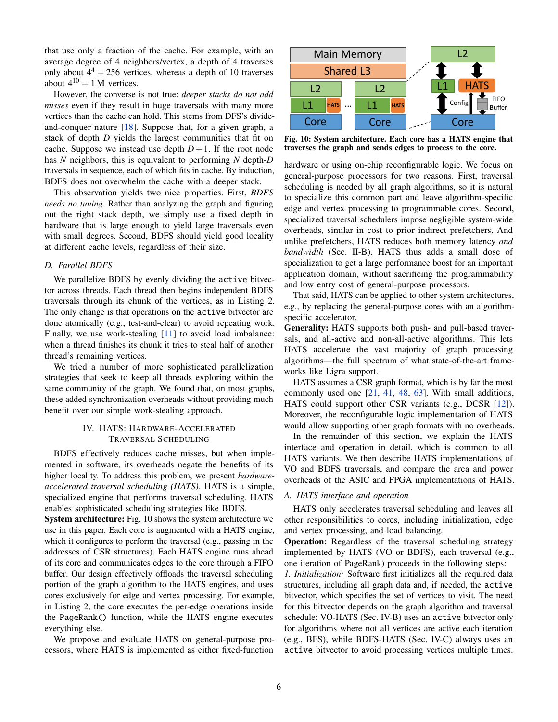that use only a fraction of the cache. For example, with an average degree of 4 neighbors/vertex, a depth of 4 traverses only about  $4^4 = 256$  vertices, whereas a depth of 10 traverses about  $4^{10} = 1$  M vertices.

However, the converse is not true: *deeper stacks do not add misses* even if they result in huge traversals with many more vertices than the cache can hold. This stems from DFS's divideand-conquer nature [\[18\]](#page-13-40). Suppose that, for a given graph, a stack of depth *D* yields the largest communities that fit on cache. Suppose we instead use depth  $D+1$ . If the root node has *N* neighbors, this is equivalent to performing *N* depth-*D* traversals in sequence, each of which fits in cache. By induction, BDFS does not overwhelm the cache with a deeper stack.

This observation yields two nice properties. First, *BDFS needs no tuning*. Rather than analyzing the graph and figuring out the right stack depth, we simply use a fixed depth in hardware that is large enough to yield large traversals even with small degrees. Second, BDFS should yield good locality at different cache levels, regardless of their size.

# <span id="page-5-1"></span>*D. Parallel BDFS*

We parallelize BDFS by evenly dividing the active bitvector across threads. Each thread then begins independent BDFS traversals through its chunk of the vertices, as in [Listing 2.](#page-3-0) The only change is that operations on the active bitvector are done atomically (e.g., test-and-clear) to avoid repeating work. Finally, we use work-stealing [\[11\]](#page-13-41) to avoid load imbalance: when a thread finishes its chunk it tries to steal half of another thread's remaining vertices.

We tried a number of more sophisticated parallelization strategies that seek to keep all threads exploring within the same community of the graph. We found that, on most graphs, these added synchronization overheads without providing much benefit over our simple work-stealing approach.

# IV. HATS: HARDWARE-ACCELERATED TRAVERSAL SCHEDULING

BDFS effectively reduces cache misses, but when implemented in software, its overheads negate the benefits of its higher locality. To address this problem, we present *hardwareaccelerated traversal scheduling (HATS)*. HATS is a simple, specialized engine that performs traversal scheduling. HATS enables sophisticated scheduling strategies like BDFS.

System architecture: [Fig. 10](#page-5-0) shows the system architecture we use in this paper. Each core is augmented with a HATS engine, which it configures to perform the traversal (e.g., passing in the addresses of CSR structures). Each HATS engine runs ahead of its core and communicates edges to the core through a FIFO buffer. Our design effectively offloads the traversal scheduling portion of the graph algorithm to the HATS engines, and uses cores exclusively for edge and vertex processing. For example, in [Listing 2,](#page-3-0) the core executes the per-edge operations inside the PageRank() function, while the HATS engine executes everything else.

We propose and evaluate HATS on general-purpose processors, where HATS is implemented as either fixed-function

<span id="page-5-0"></span>

Fig. 10: System architecture. Each core has a HATS engine that traverses the graph and sends edges to process to the core.

hardware or using on-chip reconfigurable logic. We focus on general-purpose processors for two reasons. First, traversal scheduling is needed by all graph algorithms, so it is natural to specialize this common part and leave algorithm-specific edge and vertex processing to programmable cores. Second, specialized traversal schedulers impose negligible system-wide overheads, similar in cost to prior indirect prefetchers. And unlike prefetchers, HATS reduces both memory latency *and bandwidth* [\(Sec.](#page-3-2) II-B). HATS thus adds a small dose of specialization to get a large performance boost for an important application domain, without sacrificing the programmability and low entry cost of general-purpose processors.

That said, HATS can be applied to other system architectures, e.g., by replacing the general-purpose cores with an algorithmspecific accelerator.

Generality: HATS supports both push- and pull-based traversals, and all-active and non-all-active algorithms. This lets HATS accelerate the vast majority of graph processing algorithms—the full spectrum of what state-of-the-art frameworks like Ligra support.

HATS assumes a CSR graph format, which is by far the most commonly used one [\[21,](#page-13-25) [41,](#page-13-26) [48,](#page-13-5) [63\]](#page-13-27). With small additions, HATS could support other CSR variants (e.g., DCSR [\[12\]](#page-13-42)). Moreover, the reconfigurable logic implementation of HATS would allow supporting other graph formats with no overheads.

In the remainder of this section, we explain the HATS interface and operation in detail, which is common to all HATS variants. We then describe HATS implementations of VO and BDFS traversals, and compare the area and power overheads of the ASIC and FPGA implementations of HATS.

## *A. HATS interface and operation*

HATS only accelerates traversal scheduling and leaves all other responsibilities to cores, including initialization, edge and vertex processing, and load balancing.

Operation: Regardless of the traversal scheduling strategy implemented by HATS (VO or BDFS), each traversal (e.g., one iteration of PageRank) proceeds in the following steps:

*1. Initialization:* Software first initializes all the required data structures, including all graph data and, if needed, the active bitvector, which specifies the set of vertices to visit. The need for this bitvector depends on the graph algorithm and traversal schedule: VO-HATS (Sec. [IV-B\)](#page-6-0) uses an active bitvector only for algorithms where not all vertices are active each iteration (e.g., BFS), while BDFS-HATS (Sec. [IV-C\)](#page-6-1) always uses an active bitvector to avoid processing vertices multiple times.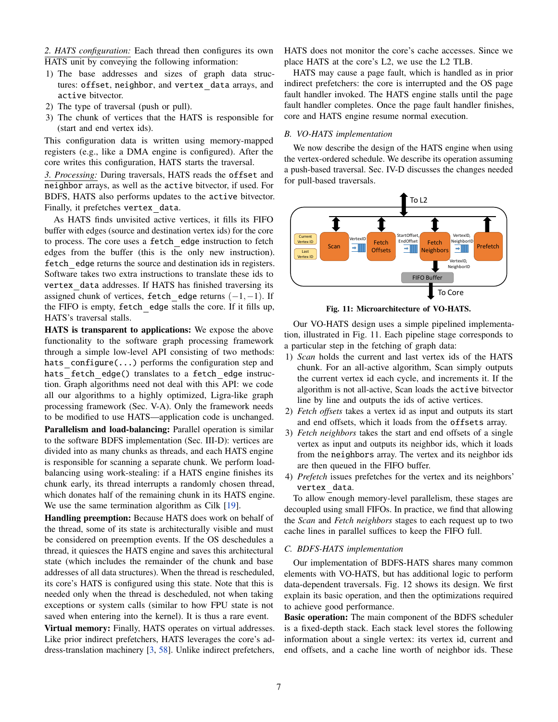*2. HATS configuration:* Each thread then configures its own HATS unit by conveying the following information:

- 1) The base addresses and sizes of graph data structures: offset, neighbor, and vertex data arrays, and active bitvector.
- 2) The type of traversal (push or pull).
- 3) The chunk of vertices that the HATS is responsible for (start and end vertex ids).

This configuration data is written using memory-mapped registers (e.g., like a DMA engine is configured). After the core writes this configuration, HATS starts the traversal.

*3. Processing:* During traversals, HATS reads the offset and neighbor arrays, as well as the active bitvector, if used. For BDFS, HATS also performs updates to the active bitvector. Finally, it prefetches vertex data.

As HATS finds unvisited active vertices, it fills its FIFO buffer with edges (source and destination vertex ids) for the core to process. The core uses a fetch edge instruction to fetch edges from the buffer (this is the only new instruction). fetch edge returns the source and destination ids in registers. Software takes two extra instructions to translate these ids to vertex data addresses. If HATS has finished traversing its assigned chunk of vertices, fetch edge returns  $(-1,-1)$ . If the FIFO is empty, fetch edge stalls the core. If it fills up, HATS's traversal stalls.

HATS is transparent to applications: We expose the above functionality to the software graph processing framework through a simple low-level API consisting of two methods: hats configure(...) performs the configuration step and hats fetch edge() translates to a fetch edge instruction. Graph algorithms need not deal with this API: we code all our algorithms to a highly optimized, Ligra-like graph processing framework [\(Sec.](#page-8-0) V-A). Only the framework needs to be modified to use HATS—application code is unchanged. Parallelism and load-balancing: Parallel operation is similar to the software BDFS implementation (Sec. [III-D\)](#page-5-1): vertices are divided into as many chunks as threads, and each HATS engine is responsible for scanning a separate chunk. We perform loadbalancing using work-stealing: if a HATS engine finishes its chunk early, its thread interrupts a randomly chosen thread, which donates half of the remaining chunk in its HATS engine. We use the same termination algorithm as Cilk [\[19\]](#page-13-43).

Handling preemption: Because HATS does work on behalf of the thread, some of its state is architecturally visible and must be considered on preemption events. If the OS deschedules a thread, it quiesces the HATS engine and saves this architectural state (which includes the remainder of the chunk and base addresses of all data structures). When the thread is rescheduled, its core's HATS is configured using this state. Note that this is needed only when the thread is descheduled, not when taking exceptions or system calls (similar to how FPU state is not saved when entering into the kernel). It is thus a rare event.

Virtual memory: Finally, HATS operates on virtual addresses. Like prior indirect prefetchers, HATS leverages the core's address-translation machinery [\[3,](#page-12-2) [58\]](#page-13-22). Unlike indirect prefetchers, HATS does not monitor the core's cache accesses. Since we place HATS at the core's L2, we use the L2 TLB.

HATS may cause a page fault, which is handled as in prior indirect prefetchers: the core is interrupted and the OS page fault handler invoked. The HATS engine stalls until the page fault handler completes. Once the page fault handler finishes, core and HATS engine resume normal execution.

# <span id="page-6-0"></span>*B. VO-HATS implementation*

We now describe the design of the HATS engine when using the vertex-ordered schedule. We describe its operation assuming a push-based traversal. Sec. [IV-D](#page-7-0) discusses the changes needed for pull-based traversals.

<span id="page-6-2"></span>

Fig. 11: Microarchitecture of VO-HATS.

Our VO-HATS design uses a simple pipelined implementation, illustrated in [Fig. 11.](#page-6-2) Each pipeline stage corresponds to a particular step in the fetching of graph data:

- 1) *Scan* holds the current and last vertex ids of the HATS chunk. For an all-active algorithm, Scan simply outputs the current vertex id each cycle, and increments it. If the algorithm is not all-active, Scan loads the active bitvector line by line and outputs the ids of active vertices.
- 2) *Fetch offsets* takes a vertex id as input and outputs its start and end offsets, which it loads from the offsets array.
- 3) *Fetch neighbors* takes the start and end offsets of a single vertex as input and outputs its neighbor ids, which it loads from the neighbors array. The vertex and its neighbor ids are then queued in the FIFO buffer.
- 4) *Prefetch* issues prefetches for the vertex and its neighbors' vertex data.

To allow enough memory-level parallelism, these stages are decoupled using small FIFOs. In practice, we find that allowing the *Scan* and *Fetch neighbors* stages to each request up to two cache lines in parallel suffices to keep the FIFO full.

# <span id="page-6-1"></span>*C. BDFS-HATS implementation*

Our implementation of BDFS-HATS shares many common elements with VO-HATS, but has additional logic to perform data-dependent traversals. [Fig. 12](#page-7-1) shows its design. We first explain its basic operation, and then the optimizations required to achieve good performance.

Basic operation: The main component of the BDFS scheduler is a fixed-depth stack. Each stack level stores the following information about a single vertex: its vertex id, current and end offsets, and a cache line worth of neighbor ids. These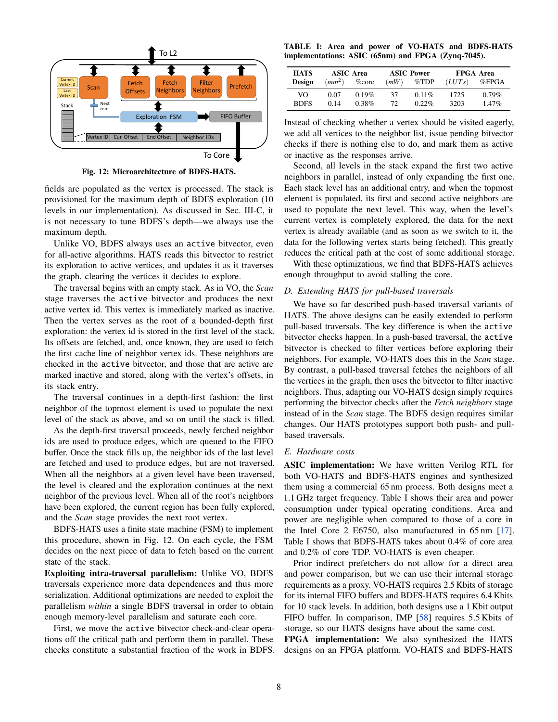<span id="page-7-1"></span>

Fig. 12: Microarchitecture of BDFS-HATS.

fields are populated as the vertex is processed. The stack is provisioned for the maximum depth of BDFS exploration (10 levels in our implementation). As discussed in Sec. [III-C,](#page-4-4) it is not necessary to tune BDFS's depth—we always use the maximum depth.

Unlike VO, BDFS always uses an active bitvector, even for all-active algorithms. HATS reads this bitvector to restrict its exploration to active vertices, and updates it as it traverses the graph, clearing the vertices it decides to explore.

The traversal begins with an empty stack. As in VO, the *Scan* stage traverses the active bitvector and produces the next active vertex id. This vertex is immediately marked as inactive. Then the vertex serves as the root of a bounded-depth first exploration: the vertex id is stored in the first level of the stack. Its offsets are fetched, and, once known, they are used to fetch the first cache line of neighbor vertex ids. These neighbors are checked in the active bitvector, and those that are active are marked inactive and stored, along with the vertex's offsets, in its stack entry.

The traversal continues in a depth-first fashion: the first neighbor of the topmost element is used to populate the next level of the stack as above, and so on until the stack is filled.

As the depth-first traversal proceeds, newly fetched neighbor ids are used to produce edges, which are queued to the FIFO buffer. Once the stack fills up, the neighbor ids of the last level are fetched and used to produce edges, but are not traversed. When all the neighbors at a given level have been traversed, the level is cleared and the exploration continues at the next neighbor of the previous level. When all of the root's neighbors have been explored, the current region has been fully explored, and the *Scan* stage provides the next root vertex.

BDFS-HATS uses a finite state machine (FSM) to implement this procedure, shown in [Fig. 12.](#page-7-1) On each cycle, the FSM decides on the next piece of data to fetch based on the current state of the stack.

Exploiting intra-traversal parallelism: Unlike VO, BDFS traversals experience more data dependences and thus more serialization. Additional optimizations are needed to exploit the parallelism *within* a single BDFS traversal in order to obtain enough memory-level parallelism and saturate each core.

First, we move the active bitvector check-and-clear operations off the critical path and perform them in parallel. These checks constitute a substantial fraction of the work in BDFS.

<span id="page-7-2"></span>TABLE I: Area and power of VO-HATS and BDFS-HATS implementations: ASIC (65nm) and FPGA (Zynq-7045).

| <b>HATS</b>        | <b>ASIC</b> Area |                | <b>ASIC Power</b> |                   | <b>FPGA</b> Area |                |
|--------------------|------------------|----------------|-------------------|-------------------|------------------|----------------|
| <b>Design</b>      | $(mm^2)$         | $\%$ core      | (mW)              | $\%$ TDP          | (LUTs)           | $%$ FPGA       |
| VO.<br><b>BDFS</b> | 0.07<br>014      | 0.19%<br>0.38% | 37<br>72          | $0.11\%$<br>0.22% | 1725<br>3203     | 0.79%<br>1.47% |

Instead of checking whether a vertex should be visited eagerly, we add all vertices to the neighbor list, issue pending bitvector checks if there is nothing else to do, and mark them as active or inactive as the responses arrive.

Second, all levels in the stack expand the first two active neighbors in parallel, instead of only expanding the first one. Each stack level has an additional entry, and when the topmost element is populated, its first and second active neighbors are used to populate the next level. This way, when the level's current vertex is completely explored, the data for the next vertex is already available (and as soon as we switch to it, the data for the following vertex starts being fetched). This greatly reduces the critical path at the cost of some additional storage.

With these optimizations, we find that BDFS-HATS achieves enough throughput to avoid stalling the core.

# <span id="page-7-0"></span>*D. Extending HATS for pull-based traversals*

We have so far described push-based traversal variants of HATS. The above designs can be easily extended to perform pull-based traversals. The key difference is when the active bitvector checks happen. In a push-based traversal, the active bitvector is checked to filter vertices before exploring their neighbors. For example, VO-HATS does this in the *Scan* stage. By contrast, a pull-based traversal fetches the neighbors of all the vertices in the graph, then uses the bitvector to filter inactive neighbors. Thus, adapting our VO-HATS design simply requires performing the bitvector checks after the *Fetch neighbors* stage instead of in the *Scan* stage. The BDFS design requires similar changes. Our HATS prototypes support both push- and pullbased traversals.

#### <span id="page-7-3"></span>*E. Hardware costs*

ASIC implementation: We have written Verilog RTL for both VO-HATS and BDFS-HATS engines and synthesized them using a commercial 65 nm process. Both designs meet a 1.1 GHz target frequency. [Table I](#page-7-2) shows their area and power consumption under typical operating conditions. Area and power are negligible when compared to those of a core in the Intel Core 2 E6750, also manufactured in 65 nm [\[17\]](#page-13-44). [Table I](#page-7-2) shows that BDFS-HATS takes about 0.4% of core area and 0.2% of core TDP. VO-HATS is even cheaper.

Prior indirect prefetchers do not allow for a direct area and power comparison, but we can use their internal storage requirements as a proxy. VO-HATS requires 2.5 Kbits of storage for its internal FIFO buffers and BDFS-HATS requires 6.4 Kbits for 10 stack levels. In addition, both designs use a 1 Kbit output FIFO buffer. In comparison, IMP [\[58\]](#page-13-22) requires 5.5 Kbits of storage, so our HATS designs have about the same cost.

FPGA implementation: We also synthesized the HATS designs on an FPGA platform. VO-HATS and BDFS-HATS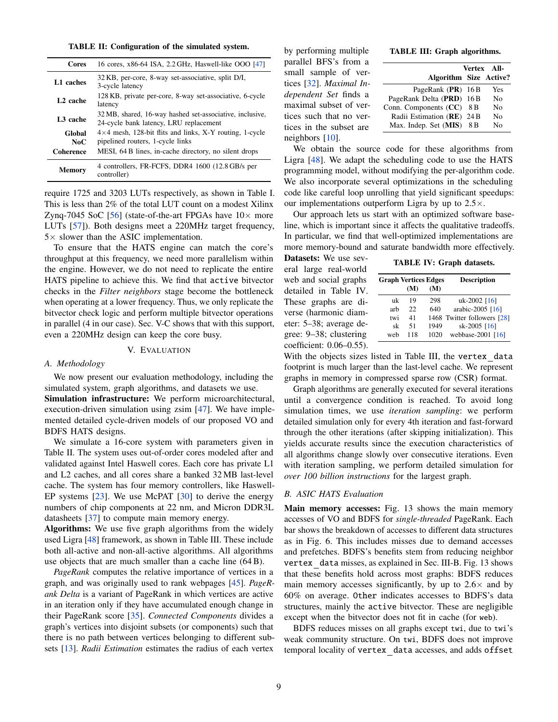TABLE II: Configuration of the simulated system.

<span id="page-8-1"></span>

| Cores                | 16 cores, x86-64 ISA, 2.2 GHz, Haswell-like OOO [47]                                               |
|----------------------|----------------------------------------------------------------------------------------------------|
| L1 caches            | 32 KB, per-core, 8-way set-associative, split D/I,<br>3-cycle latency                              |
| L <sub>2</sub> cache | 128 KB, private per-core, 8-way set-associative, 6-cycle<br>latency                                |
| L <sub>3</sub> cache | 32 MB, shared, 16-way hashed set-associative, inclusive,<br>24-cycle bank latency, LRU replacement |
| Global<br>NoC        | $4\times4$ mesh, 128-bit flits and links, X-Y routing, 1-cycle<br>pipelined routers, 1-cycle links |
| <b>Coherence</b>     | MESI, 64 B lines, in-cache directory, no silent drops                                              |
| <b>Memory</b>        | 4 controllers, FR-FCFS, DDR4 1600 (12.8 GB/s per<br>controller)                                    |

require 1725 and 3203 LUTs respectively, as shown in [Table I.](#page-7-2) This is less than 2% of the total LUT count on a modest Xilinx Zynq-7045 SoC [\[56\]](#page-13-46) (state-of-the-art FPGAs have  $10\times$  more LUTs [\[57\]](#page-13-47)). Both designs meet a 220MHz target frequency,  $5\times$  slower than the ASIC implementation.

To ensure that the HATS engine can match the core's throughput at this frequency, we need more parallelism within the engine. However, we do not need to replicate the entire HATS pipeline to achieve this. We find that active bitvector checks in the *Filter neighbors* stage become the bottleneck when operating at a lower frequency. Thus, we only replicate the bitvector check logic and perform multiple bitvector operations in parallel (4 in our case). [Sec.](#page-10-0) V-C shows that with this support, even a 220MHz design can keep the core busy.

## V. EVALUATION

#### <span id="page-8-0"></span>*A. Methodology*

We now present our evaluation methodology, including the simulated system, graph algorithms, and datasets we use.

Simulation infrastructure: We perform microarchitectural, execution-driven simulation using zsim [\[47\]](#page-13-45). We have implemented detailed cycle-driven models of our proposed VO and BDFS HATS designs.

We simulate a 16-core system with parameters given in [Table II.](#page-8-1) The system uses out-of-order cores modeled after and validated against Intel Haswell cores. Each core has private L1 and L2 caches, and all cores share a banked 32 MB last-level cache. The system has four memory controllers, like Haswell-EP systems [\[23\]](#page-13-48). We use McPAT [\[30\]](#page-13-49) to derive the energy numbers of chip components at 22 nm, and Micron DDR3L datasheets [\[37\]](#page-13-50) to compute main memory energy.

Algorithms: We use five graph algorithms from the widely used Ligra [\[48\]](#page-13-5) framework, as shown in [Table III.](#page-8-2) These include both all-active and non-all-active algorithms. All algorithms use objects that are much smaller than a cache line (64 B).

*PageRank* computes the relative importance of vertices in a graph, and was originally used to rank webpages [\[45\]](#page-13-39). *PageRank Delta* is a variant of PageRank in which vertices are active in an iteration only if they have accumulated enough change in their PageRank score [\[35\]](#page-13-23). *Connected Components* divides a graph's vertices into disjoint subsets (or components) such that there is no path between vertices belonging to different subsets [\[13\]](#page-13-19). *Radii Estimation* estimates the radius of each vertex

by performing multiple parallel BFS's from a small sample of vertices [\[32\]](#page-13-51). *Maximal Independent Set* finds a maximal subset of vertices such that no vertices in the subset are neighbors [\[10\]](#page-13-52).

#### <span id="page-8-2"></span>TABLE III: Graph algorithms.

|                            | Vertex All- |                |
|----------------------------|-------------|----------------|
| Algorithm Size Active?     |             |                |
| PageRank $(PR)$ 16 B       |             | Yes            |
| PageRank Delta (PRD) 16B   |             | N <sub>0</sub> |
| Conn. Components (CC)      | - 8 B       | No             |
| Radii Estimation (RE) 24 B |             | N <sub>0</sub> |
| Max. Indep. Set (MIS)      | - 8 B       | $N_{\Omega}$   |

We obtain the source code for these algorithms from Ligra [\[48\]](#page-13-5). We adapt the scheduling code to use the HATS programming model, without modifying the per-algorithm code. We also incorporate several optimizations in the scheduling code like careful loop unrolling that yield significant speedups: our implementations outperform Ligra by up to  $2.5 \times$ .

Our approach lets us start with an optimized software baseline, which is important since it affects the qualitative tradeoffs. In particular, we find that well-optimized implementations are more memory-bound and saturate bandwidth more effectively.

Datasets: We use several large real-world web and social graphs detailed in Table IV These graphs are diverse (harmonic diameter: 5–38; average degree: 9–38; clustering coefficient: 0.06–0.55).

#### <span id="page-8-3"></span>TABLE IV: Graph datasets.

| <b>Graph Vertices Edges</b> |     |      | <b>Description</b>          |  |
|-----------------------------|-----|------|-----------------------------|--|
|                             | (M) | (M)  |                             |  |
| uk                          | 19  | 298  | uk-2002 [16]                |  |
| arb                         | 22  | 640  | arabic-2005 [16]            |  |
| twi                         | 41  |      | 1468 Twitter followers [28] |  |
| sk                          | 51  | 1949 | sk-2005 $[16]$              |  |
| web                         | 118 | 1020 | webbase-2001 [16]           |  |

With the objects sizes listed in [Table III,](#page-8-2) the vertex data footprint is much larger than the last-level cache. We represent graphs in memory in compressed sparse row (CSR) format.

Graph algorithms are generally executed for several iterations until a convergence condition is reached. To avoid long simulation times, we use *iteration sampling*: we perform detailed simulation only for every 4th iteration and fast-forward through the other iterations (after skipping initialization). This yields accurate results since the execution characteristics of all algorithms change slowly over consecutive iterations. Even with iteration sampling, we perform detailed simulation for *over 100 billion instructions* for the largest graph.

## *B. ASIC HATS Evaluation*

Main memory accesses: [Fig. 13](#page-9-0) shows the main memory accesses of VO and BDFS for *single-threaded* PageRank. Each bar shows the breakdown of accesses to different data structures as in [Fig. 6.](#page-4-0) This includes misses due to demand accesses and prefetches. BDFS's benefits stem from reducing neighbor vertex data misses, as explained in Sec. [III-B.](#page-4-5) [Fig. 13](#page-9-0) shows that these benefits hold across most graphs: BDFS reduces main memory accesses significantly, by up to  $2.6\times$  and by 60% on average. Other indicates accesses to BDFS's data structures, mainly the active bitvector. These are negligible except when the bitvector does not fit in cache (for web).

BDFS reduces misses on all graphs except twi, due to twi's weak community structure. On twi, BDFS does not improve temporal locality of vertex data accesses, and adds offset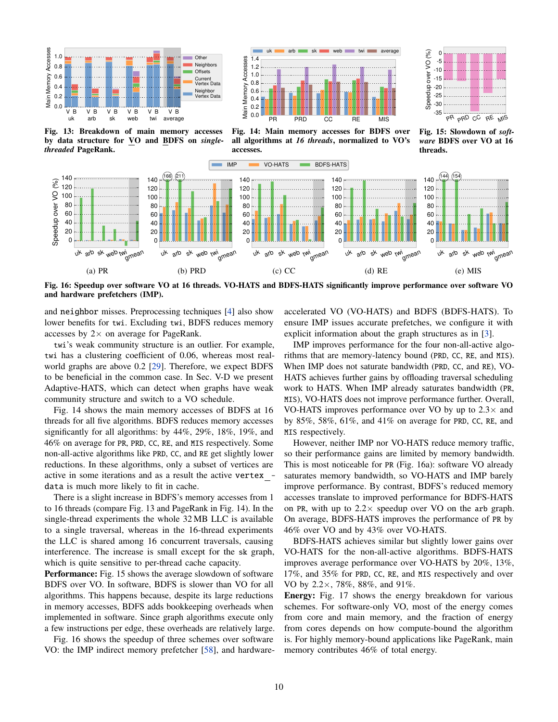<span id="page-9-0"></span>



all algorithms at *16 threads*, normalized to VO's



*ware* BDFS over VO at 16

threads.

Fig. 13: Breakdown of main memory accesses by data structure for VO and BDFS on *singlethreaded* PageRank.

<span id="page-9-1"></span>

accesses.

Fig. 16: Speedup over software VO at 16 threads. VO-HATS and BDFS-HATS significantly improve performance over software VO and hardware prefetchers (IMP).

and neighbor misses. Preprocessing techniques [\[4\]](#page-13-54) also show lower benefits for twi. Excluding twi, BDFS reduces memory accesses by  $2 \times$  on average for PageRank.

twi's weak community structure is an outlier. For example, twi has a clustering coefficient of 0.06, whereas most realworld graphs are above 0.2 [\[29\]](#page-13-2). Therefore, we expect BDFS to be beneficial in the common case. In [Sec.](#page-10-1) V-D we present Adaptive-HATS, which can detect when graphs have weak community structure and switch to a VO schedule.

[Fig. 14](#page-9-0) shows the main memory accesses of BDFS at 16 threads for all five algorithms. BDFS reduces memory accesses significantly for all algorithms: by 44%, 29%, 18%, 19%, and 46% on average for PR, PRD, CC, RE, and MIS respectively. Some non-all-active algorithms like PRD, CC, and RE get slightly lower reductions. In these algorithms, only a subset of vertices are active in some iterations and as a result the active vertex data is much more likely to fit in cache.

There is a slight increase in BDFS's memory accesses from 1 to 16 threads (compare [Fig. 13](#page-9-0) and PageRank in [Fig. 14\)](#page-9-0). In the single-thread experiments the whole 32 MB LLC is available to a single traversal, whereas in the 16-thread experiments the LLC is shared among 16 concurrent traversals, causing interference. The increase is small except for the sk graph, which is quite sensitive to per-thread cache capacity.

**Performance:** [Fig. 15](#page-9-0) shows the average slowdown of software BDFS over VO. In software, BDFS is slower than VO for all algorithms. This happens because, despite its large reductions in memory accesses, BDFS adds bookkeeping overheads when implemented in software. Since graph algorithms execute only a few instructions per edge, these overheads are relatively large.

[Fig. 16](#page-9-1) shows the speedup of three schemes over software VO: the IMP indirect memory prefetcher [\[58\]](#page-13-22), and hardwareaccelerated VO (VO-HATS) and BDFS (BDFS-HATS). To ensure IMP issues accurate prefetches, we configure it with explicit information about the graph structures as in [\[3\]](#page-12-2).

IMP improves performance for the four non-all-active algorithms that are memory-latency bound (PRD, CC, RE, and MIS). When IMP does not saturate bandwidth (PRD, CC, and RE), VO-HATS achieves further gains by offloading traversal scheduling work to HATS. When IMP already saturates bandwidth (PR, MIS), VO-HATS does not improve performance further. Overall, VO-HATS improves performance over VO by up to  $2.3\times$  and by 85%, 58%, 61%, and 41% on average for PRD, CC, RE, and MIS respectively.

However, neither IMP nor VO-HATS reduce memory traffic, so their performance gains are limited by memory bandwidth. This is most noticeable for PR [\(Fig. 16a\)](#page-9-1): software VO already saturates memory bandwidth, so VO-HATS and IMP barely improve performance. By contrast, BDFS's reduced memory accesses translate to improved performance for BDFS-HATS on PR, with up to  $2.2 \times$  speedup over VO on the arb graph. On average, BDFS-HATS improves the performance of PR by 46% over VO and by 43% over VO-HATS.

BDFS-HATS achieves similar but slightly lower gains over VO-HATS for the non-all-active algorithms. BDFS-HATS improves average performance over VO-HATS by 20%, 13%, 17%, and 35% for PRD, CC, RE, and MIS respectively and over VO by 2.2×, 78%, 88%, and 91%.

Energy: [Fig. 17](#page-10-2) shows the energy breakdown for various schemes. For software-only VO, most of the energy comes from core and main memory, and the fraction of energy from cores depends on how compute-bound the algorithm is. For highly memory-bound applications like PageRank, main memory contributes 46% of total energy.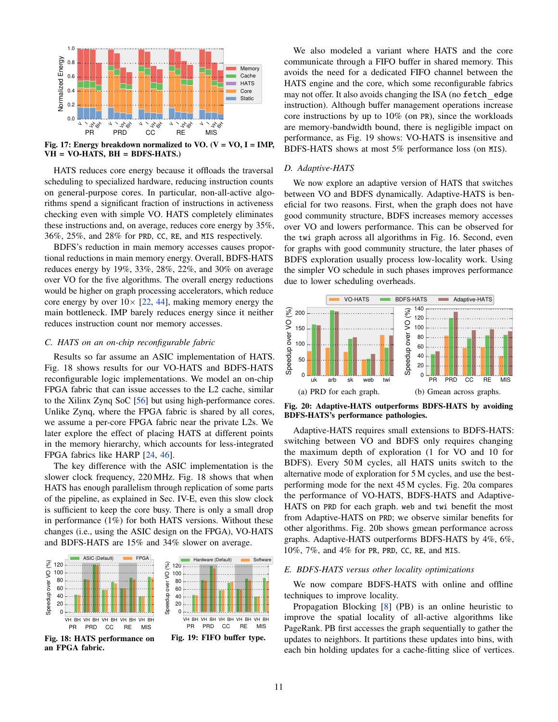<span id="page-10-2"></span>

Fig. 17: Energy breakdown normalized to VO.  $(V = VO, I = IMP,$ VH = VO-HATS, BH = BDFS-HATS.)

HATS reduces core energy because it offloads the traversal scheduling to specialized hardware, reducing instruction counts on general-purpose cores. In particular, non-all-active algorithms spend a significant fraction of instructions in activeness checking even with simple VO. HATS completely eliminates these instructions and, on average, reduces core energy by 35%, 36%, 25%, and 28% for PRD, CC, RE, and MIS respectively.

BDFS's reduction in main memory accesses causes proportional reductions in main memory energy. Overall, BDFS-HATS reduces energy by 19%, 33%, 28%, 22%, and 30% on average over VO for the five algorithms. The overall energy reductions would be higher on graph processing accelerators, which reduce core energy by over  $10 \times [22, 44]$  $10 \times [22, 44]$  $10 \times [22, 44]$  $10 \times [22, 44]$ , making memory energy the main bottleneck. IMP barely reduces energy since it neither reduces instruction count nor memory accesses.

# <span id="page-10-0"></span>*C. HATS on an on-chip reconfigurable fabric*

Results so far assume an ASIC implementation of HATS. [Fig. 18](#page-10-3) shows results for our VO-HATS and BDFS-HATS reconfigurable logic implementations. We model an on-chip FPGA fabric that can issue accesses to the L2 cache, similar to the Xilinx Zynq SoC [\[56\]](#page-13-46) but using high-performance cores. Unlike Zynq, where the FPGA fabric is shared by all cores, we assume a per-core FPGA fabric near the private L2s. We later explore the effect of placing HATS at different points in the memory hierarchy, which accounts for less-integrated FPGA fabrics like HARP [\[24,](#page-13-55) [46\]](#page-13-56).

The key difference with the ASIC implementation is the slower clock frequency, 220 MHz. [Fig. 18](#page-10-3) shows that when HATS has enough parallelism through replication of some parts of the pipeline, as explained in Sec. [IV-E,](#page-7-3) even this slow clock is sufficient to keep the core busy. There is only a small drop in performance (1%) for both HATS versions. Without these changes (i.e., using the ASIC design on the FPGA), VO-HATS and BDFS-HATS are 15% and 34% slower on average.

<span id="page-10-3"></span>

We also modeled a variant where HATS and the core communicate through a FIFO buffer in shared memory. This avoids the need for a dedicated FIFO channel between the HATS engine and the core, which some reconfigurable fabrics may not offer. It also avoids changing the ISA (no fetch edge instruction). Although buffer management operations increase core instructions by up to 10% (on PR), since the workloads are memory-bandwidth bound, there is negligible impact on performance, as [Fig. 19](#page-10-3) shows: VO-HATS is insensitive and BDFS-HATS shows at most 5% performance loss (on MIS).

## <span id="page-10-1"></span>*D. Adaptive-HATS*

We now explore an adaptive version of HATS that switches between VO and BDFS dynamically. Adaptive-HATS is beneficial for two reasons. First, when the graph does not have good community structure, BDFS increases memory accesses over VO and lowers performance. This can be observed for the twi graph across all algorithms in [Fig. 16.](#page-9-1) Second, even for graphs with good community structure, the later phases of BDFS exploration usually process low-locality work. Using the simpler VO schedule in such phases improves performance due to lower scheduling overheads.

<span id="page-10-4"></span>

Fig. 20: Adaptive-HATS outperforms BDFS-HATS by avoiding BDFS-HATS's performance pathologies.

Adaptive-HATS requires small extensions to BDFS-HATS: switching between VO and BDFS only requires changing the maximum depth of exploration (1 for VO and 10 for BDFS). Every 50 M cycles, all HATS units switch to the alternative mode of exploration for 5 M cycles, and use the bestperforming mode for the next 45 M cycles. [Fig. 20a](#page-10-4) compares the performance of VO-HATS, BDFS-HATS and Adaptive-HATS on PRD for each graph. web and twi benefit the most from Adaptive-HATS on PRD; we observe similar benefits for other algorithms. [Fig. 20b](#page-10-4) shows gmean performance across graphs. Adaptive-HATS outperforms BDFS-HATS by 4%, 6%, 10%, 7%, and 4% for PR, PRD, CC, RE, and MIS.

## *E. BDFS-HATS versus other locality optimizations*

We now compare BDFS-HATS with online and offline techniques to improve locality.

Propagation Blocking [\[8\]](#page-13-31) (PB) is an online heuristic to improve the spatial locality of all-active algorithms like PageRank. PB first accesses the graph sequentially to gather the updates to neighbors. It partitions these updates into bins, with each bin holding updates for a cache-fitting slice of vertices.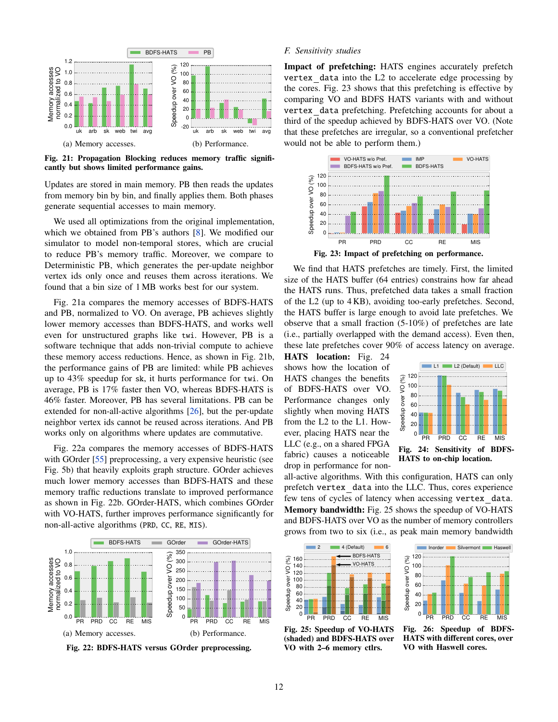<span id="page-11-0"></span>

Fig. 21: Propagation Blocking reduces memory traffic significantly but shows limited performance gains.

Updates are stored in main memory. PB then reads the updates from memory bin by bin, and finally applies them. Both phases generate sequential accesses to main memory.

We used all optimizations from the original implementation, which we obtained from PB's authors [\[8\]](#page-13-31). We modified our simulator to model non-temporal stores, which are crucial to reduce PB's memory traffic. Moreover, we compare to Deterministic PB, which generates the per-update neighbor vertex ids only once and reuses them across iterations. We found that a bin size of 1 MB works best for our system.

[Fig. 21a](#page-11-0) compares the memory accesses of BDFS-HATS and PB, normalized to VO. On average, PB achieves slightly lower memory accesses than BDFS-HATS, and works well even for unstructured graphs like twi. However, PB is a software technique that adds non-trivial compute to achieve these memory access reductions. Hence, as shown in [Fig. 21b,](#page-11-0) the performance gains of PB are limited: while PB achieves up to 43% speedup for sk, it hurts performance for twi. On average, PB is 17% faster then VO, whereas BDFS-HATS is 46% faster. Moreover, PB has several limitations. PB can be extended for non-all-active algorithms [\[26\]](#page-13-0), but the per-update neighbor vertex ids cannot be reused across iterations. And PB works only on algorithms where updates are commutative.

[Fig. 22a](#page-11-1) compares the memory accesses of BDFS-HATS with GOrder [\[55\]](#page-13-8) preprocessing, a very expensive heuristic (see [Fig. 5b\)](#page-2-2) that heavily exploits graph structure. GOrder achieves much lower memory accesses than BDFS-HATS and these memory traffic reductions translate to improved performance as shown in [Fig. 22b.](#page-11-1) GOrder-HATS, which combines GOrder with VO-HATS, further improves performance significantly for non-all-active algorithms (PRD, CC, RE, MIS).

<span id="page-11-1"></span>

Fig. 22: BDFS-HATS versus GOrder preprocessing.

## *F. Sensitivity studies*

Impact of prefetching: HATS engines accurately prefetch vertex data into the L2 to accelerate edge processing by the cores. [Fig. 23](#page-11-2) shows that this prefetching is effective by comparing VO and BDFS HATS variants with and without vertex data prefetching. Prefetching accounts for about a third of the speedup achieved by BDFS-HATS over VO. (Note that these prefetches are irregular, so a conventional prefetcher would not be able to perform them.)

<span id="page-11-2"></span>

We find that HATS prefetches are timely. First, the limited size of the HATS buffer (64 entries) constrains how far ahead the HATS runs. Thus, prefetched data takes a small fraction of the L2 (up to 4 KB), avoiding too-early prefetches. Second, the HATS buffer is large enough to avoid late prefetches. We observe that a small fraction (5-10%) of prefetches are late (i.e., partially overlapped with the demand access). Even then, these late prefetches cover 90% of access latency on average.

HATS location: [Fig. 24](#page-11-3) shows how the location of HATS changes the benefits of BDFS-HATS over VO. Performance changes only slightly when moving HATS from the L2 to the L1. However, placing HATS near the LLC (e.g., on a shared FPGA fabric) causes a noticeable drop in performance for non-

<span id="page-11-3"></span>

HATS to on-chip location.

all-active algorithms. With this configuration, HATS can only prefetch vertex data into the LLC. Thus, cores experience few tens of cycles of latency when accessing vertex data. Memory bandwidth: [Fig. 25](#page-11-4) shows the speedup of VO-HATS and BDFS-HATS over VO as the number of memory controllers grows from two to six (i.e., as peak main memory bandwidth

<span id="page-11-4"></span>

Fig. 25: Speedup of VO-HATS (shaded) and BDFS-HATS over VO with 2–6 memory ctlrs.



Fig. 26: Speedup of BDFS-HATS with different cores, over VO with Haswell cores.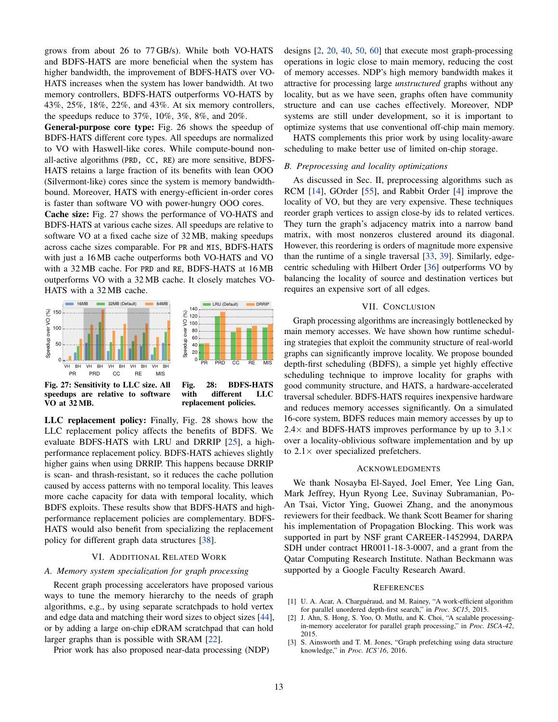grows from about 26 to 77 GB/s). While both VO-HATS and BDFS-HATS are more beneficial when the system has higher bandwidth, the improvement of BDFS-HATS over VO-HATS increases when the system has lower bandwidth. At two memory controllers, BDFS-HATS outperforms VO-HATS by 43%, 25%, 18%, 22%, and 43%. At six memory controllers, the speedups reduce to 37%, 10%, 3%, 8%, and 20%.

General-purpose core type: [Fig. 26](#page-11-4) shows the speedup of BDFS-HATS different core types. All speedups are normalized to VO with Haswell-like cores. While compute-bound nonall-active algorithms (PRD, CC, RE) are more sensitive, BDFS-HATS retains a large fraction of its benefits with lean OOO (Silvermont-like) cores since the system is memory bandwidthbound. Moreover, HATS with energy-efficient in-order cores is faster than software VO with power-hungry OOO cores.

Cache size: [Fig. 27](#page-12-3) shows the performance of VO-HATS and BDFS-HATS at various cache sizes. All speedups are relative to software VO at a fixed cache size of 32 MB, making speedups across cache sizes comparable. For PR and MIS, BDFS-HATS with just a 16 MB cache outperforms both VO-HATS and VO with a 32 MB cache. For PRD and RE, BDFS-HATS at 16 MB outperforms VO with a 32 MB cache. It closely matches VO-HATS with a 32 MB cache.

<span id="page-12-3"></span>

Fig. 27: Sensitivity to LLC size. All speedups are relative to software VO at 32 MB.

Fig. 28: BDFS-HATS with different LLC replacement policies.

LLC replacement policy: Finally, [Fig. 28](#page-12-3) shows how the LLC replacement policy affects the benefits of BDFS. We evaluate BDFS-HATS with LRU and DRRIP [\[25\]](#page-13-57), a highperformance replacement policy. BDFS-HATS achieves slightly higher gains when using DRRIP. This happens because DRRIP is scan- and thrash-resistant, so it reduces the cache pollution caused by access patterns with no temporal locality. This leaves more cache capacity for data with temporal locality, which BDFS exploits. These results show that BDFS-HATS and highperformance replacement policies are complementary. BDFS-HATS would also benefit from specializing the replacement policy for different graph data structures [\[38\]](#page-13-58).

## VI. ADDITIONAL RELATED WORK

## *A. Memory system specialization for graph processing*

Recent graph processing accelerators have proposed various ways to tune the memory hierarchy to the needs of graph algorithms, e.g., by using separate scratchpads to hold vertex and edge data and matching their word sizes to object sizes [\[44\]](#page-13-18), or by adding a large on-chip eDRAM scratchpad that can hold larger graphs than is possible with SRAM [\[22\]](#page-13-7).

Prior work has also proposed near-data processing (NDP)

designs [\[2,](#page-12-0) [20,](#page-13-59) [40,](#page-13-17) [50,](#page-13-32) [60\]](#page-13-33) that execute most graph-processing operations in logic close to main memory, reducing the cost of memory accesses. NDP's high memory bandwidth makes it attractive for processing large *unstructured* graphs without any locality, but as we have seen, graphs often have community structure and can use caches effectively. Moreover, NDP systems are still under development, so it is important to optimize systems that use conventional off-chip main memory.

HATS complements this prior work by using locality-aware scheduling to make better use of limited on-chip storage.

## *B. Preprocessing and locality optimizations*

As discussed in [Sec. II,](#page-1-3) preprocessing algorithms such as RCM [\[14\]](#page-13-30), GOrder [\[55\]](#page-13-8), and Rabbit Order [\[4\]](#page-13-54) improve the locality of VO, but they are very expensive. These techniques reorder graph vertices to assign close-by ids to related vertices. They turn the graph's adjacency matrix into a narrow band matrix, with most nonzeros clustered around its diagonal. However, this reordering is orders of magnitude more expensive than the runtime of a single traversal [\[33,](#page-13-12) [39\]](#page-13-13). Similarly, edgecentric scheduling with Hilbert Order [\[36\]](#page-13-60) outperforms VO by balancing the locality of source and destination vertices but requires an expensive sort of all edges.

## VII. CONCLUSION

Graph processing algorithms are increasingly bottlenecked by main memory accesses. We have shown how runtime scheduling strategies that exploit the community structure of real-world graphs can significantly improve locality. We propose bounded depth-first scheduling (BDFS), a simple yet highly effective scheduling technique to improve locality for graphs with good community structure, and HATS, a hardware-accelerated traversal scheduler. BDFS-HATS requires inexpensive hardware and reduces memory accesses significantly. On a simulated 16-core system, BDFS reduces main memory accesses by up to 2.4 $\times$  and BDFS-HATS improves performance by up to 3.1 $\times$ over a locality-oblivious software implementation and by up to  $2.1 \times$  over specialized prefetchers.

#### ACKNOWLEDGMENTS

We thank Nosayba El-Sayed, Joel Emer, Yee Ling Gan, Mark Jeffrey, Hyun Ryong Lee, Suvinay Subramanian, Po-An Tsai, Victor Ying, Guowei Zhang, and the anonymous reviewers for their feedback. We thank Scott Beamer for sharing his implementation of Propagation Blocking. This work was supported in part by NSF grant CAREER-1452994, DARPA SDH under contract HR0011-18-3-0007, and a grant from the Qatar Computing Research Institute. Nathan Beckmann was supported by a Google Faculty Research Award.

## **REFERENCES**

- <span id="page-12-1"></span>[1] U. A. Acar, A. Charguéraud, and M. Rainey, "A work-efficient algorithm for parallel unordered depth-first search," in *Proc. SC15*, 2015.
- <span id="page-12-0"></span>[2] J. Ahn, S. Hong, S. Yoo, O. Mutlu, and K. Choi, "A scalable processingin-memory accelerator for parallel graph processing," in *Proc. ISCA-42*, 2015.
- <span id="page-12-2"></span>[3] S. Ainsworth and T. M. Jones, "Graph prefetching using data structure knowledge," in *Proc. ICS'16*, 2016.